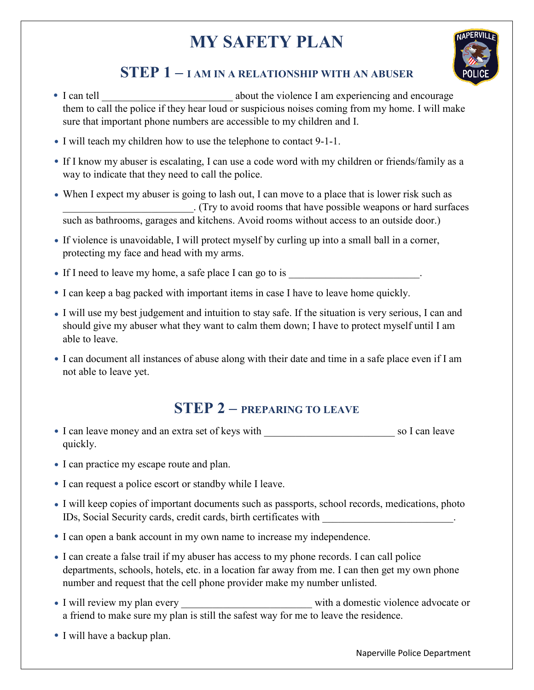# **MY SAFETY PLAN**



### **STEP 1 – I AM IN A RELATIONSHIP WITH AN ABUSER**

- I can tell \_\_\_\_\_\_\_\_\_\_\_\_\_\_\_\_\_\_\_\_\_\_\_\_\_ about the violence I am experiencing and encourage them to call the police if they hear loud or suspicious noises coming from my home. I will make sure that important phone numbers are accessible to my children and I.
- I will teach my children how to use the telephone to contact 9-1-1.
- If I know my abuser is escalating, I can use a code word with my children or friends/family as a way to indicate that they need to call the police.
- When I expect my abuser is going to lash out, I can move to a place that is lower risk such as \_\_\_\_\_\_\_\_\_\_\_\_\_\_\_\_\_\_\_\_\_\_\_\_\_. (Try to avoid rooms that have possible weapons or hard surfaces such as bathrooms, garages and kitchens. Avoid rooms without access to an outside door.)
- If violence is unavoidable, I will protect myself by curling up into a small ball in a corner, protecting my face and head with my arms.

If I need to leave my home, a safe place I can go to is  $\cdot$ 

- I can keep a bag packed with important items in case I have to leave home quickly.
- I will use my best judgement and intuition to stay safe. If the situation is very serious, I can and should give my abuser what they want to calm them down; I have to protect myself until I am able to leave.
- I can document all instances of abuse along with their date and time in a safe place even if I am not able to leave yet.

### **STEP 2 – PREPARING TO LEAVE**

- I can leave money and an extra set of keys with \_\_\_\_\_\_\_\_\_\_\_\_\_\_\_\_\_\_\_\_\_\_\_\_\_ so I can leave quickly.
- I can practice my escape route and plan.
- I can request a police escort or standby while I leave.
- I will keep copies of important documents such as passports, school records, medications, photo IDs, Social Security cards, credit cards, birth certificates with  $\blacksquare$
- I can open a bank account in my own name to increase my independence.
- I can create a false trail if my abuser has access to my phone records. I can call police departments, schools, hotels, etc. in a location far away from me. I can then get my own phone number and request that the cell phone provider make my number unlisted.
- I will review my plan every example with a domestic violence advocate or a friend to make sure my plan is still the safest way for me to leave the residence.
- I will have a backup plan.

Naperville Police Department